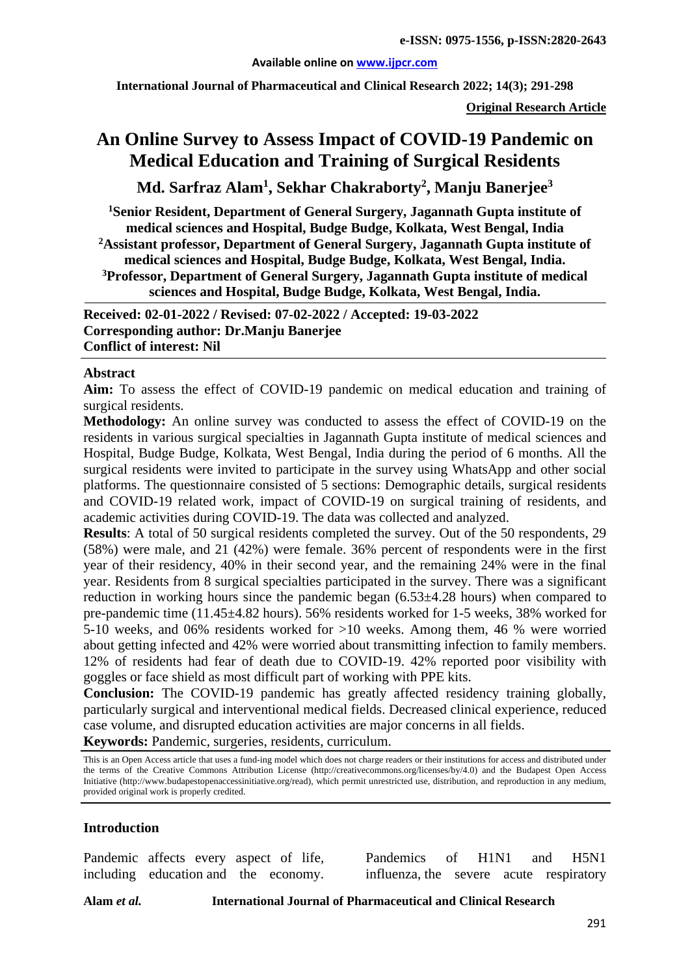#### **Available online on [www.ijpcr.com](http://www.ijpcr.com/)**

**International Journal of Pharmaceutical and Clinical Research 2022; 14(3); 291-298**

**Original Research Article**

# **An Online Survey to Assess Impact of COVID-19 Pandemic on Medical Education and Training of Surgical Residents**

**Md. Sarfraz Alam1 , Sekhar Chakraborty2 , Manju Banerjee3**

**1Senior Resident, Department of General Surgery, Jagannath Gupta institute of medical sciences and Hospital, Budge Budge, Kolkata, West Bengal, India 2Assistant professor, Department of General Surgery, Jagannath Gupta institute of medical sciences and Hospital, Budge Budge, Kolkata, West Bengal, India. 3Professor, Department of General Surgery, Jagannath Gupta institute of medical sciences and Hospital, Budge Budge, Kolkata, West Bengal, India.**

**Received: 02-01-2022 / Revised: 07-02-2022 / Accepted: 19-03-2022 Corresponding author: Dr.Manju Banerjee Conflict of interest: Nil**

#### **Abstract**

**Aim:** To assess the effect of COVID-19 pandemic on medical education and training of surgical residents.

**Methodology:** An online survey was conducted to assess the effect of COVID-19 on the residents in various surgical specialties in Jagannath Gupta institute of medical sciences and Hospital, Budge Budge, Kolkata, West Bengal, India during the period of 6 months. All the surgical residents were invited to participate in the survey using WhatsApp and other social platforms. The questionnaire consisted of 5 sections: Demographic details, surgical residents and COVID-19 related work, impact of COVID-19 on surgical training of residents, and academic activities during COVID-19. The data was collected and analyzed.

**Results**: A total of 50 surgical residents completed the survey. Out of the 50 respondents, 29 (58%) were male, and 21 (42%) were female. 36% percent of respondents were in the first year of their residency, 40% in their second year, and the remaining 24% were in the final year. Residents from 8 surgical specialties participated in the survey. There was a significant reduction in working hours since the pandemic began  $(6.53\pm4.28$  hours) when compared to pre-pandemic time (11.45±4.82 hours). 56% residents worked for 1-5 weeks, 38% worked for 5-10 weeks, and 06% residents worked for >10 weeks. Among them, 46 % were worried about getting infected and 42% were worried about transmitting infection to family members. 12% of residents had fear of death due to COVID-19. 42% reported poor visibility with goggles or face shield as most difficult part of working with PPE kits.

**Conclusion:** The COVID-19 pandemic has greatly affected residency training globally, particularly surgical and interventional medical fields. Decreased clinical experience, reduced case volume, and disrupted education activities are major concerns in all fields.

**Keywords:** Pandemic, surgeries, residents, curriculum.

This is an Open Access article that uses a fund-ing model which does not charge readers or their institutions for access and distributed under the terms of the Creative Commons Attribution License (http://creativecommons.org/licenses/by/4.0) and the Budapest Open Access Initiative (http://www.budapestopenaccessinitiative.org/read), which permit unrestricted use, distribution, and reproduction in any medium, provided original work is properly credited.

#### **Introduction**

Pandemic affects every aspect of life, including education and the economy.

Pandemics of H1N1 and H5N1 influenza, the severe acute respiratory

**Alam** *et al.* **International Journal of Pharmaceutical and Clinical Research**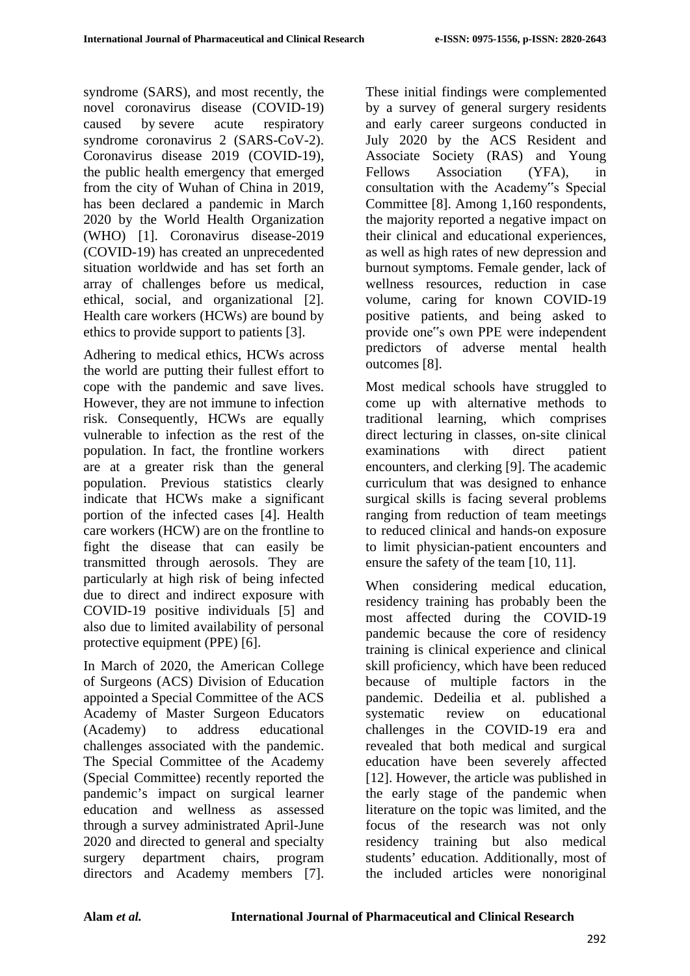syndrome (SARS), and most recently, the novel coronavirus disease (COVID-19) caused by severe acute respiratory syndrome coronavirus 2 (SARS-CoV-2). Coronavirus disease 2019 (COVID-19), the public health emergency that emerged from the city of Wuhan of China in 2019, has been declared a pandemic in March 2020 by the World Health Organization (WHO) [1]. Coronavirus disease-2019 (COVID-19) has created an unprecedented situation worldwide and has set forth an array of challenges before us medical, ethical, social, and organizational [2]. Health care workers (HCWs) are bound by ethics to provide support to patients [3].

Adhering to medical ethics, HCWs across the world are putting their fullest effort to cope with the pandemic and save lives. However, they are not immune to infection risk. Consequently, HCWs are equally vulnerable to infection as the rest of the population. In fact, the frontline workers are at a greater risk than the general population. Previous statistics clearly indicate that HCWs make a significant portion of the infected cases [4]. Health care workers (HCW) are on the frontline to fight the disease that can easily be transmitted through aerosols. They are particularly at high risk of being infected due to direct and indirect exposure with COVID-19 positive individuals [5] and also due to limited availability of personal protective equipment (PPE) [6].

In March of 2020, the American College of Surgeons (ACS) Division of Education appointed a Special Committee of the ACS Academy of Master Surgeon Educators (Academy) to address educational challenges associated with the pandemic. The Special Committee of the Academy (Special Committee) recently reported the pandemic's impact on surgical learner education and wellness as assessed through a survey administrated April-June 2020 and directed to general and specialty surgery department chairs, program directors and Academy members [7].

These initial findings were complemented by a survey of general surgery residents and early career surgeons conducted in July 2020 by the ACS Resident and Associate Society (RAS) and Young Fellows Association (YFA), in consultation with the Academy"s Special Committee [8]. Among 1,160 respondents, the majority reported a negative impact on their clinical and educational experiences, as well as high rates of new depression and burnout symptoms. Female gender, lack of wellness resources, reduction in case volume, caring for known COVID-19 positive patients, and being asked to provide one"s own PPE were independent predictors of adverse mental health outcomes [8].

Most medical schools have struggled to come up with alternative methods to traditional learning, which comprises direct lecturing in classes, on-site clinical examinations with direct patient encounters, and clerking [9]. The academic curriculum that was designed to enhance surgical skills is facing several problems ranging from reduction of team meetings to reduced clinical and hands-on exposure to limit physician-patient encounters and ensure the safety of the team [10, 11].

When considering medical education, residency training has probably been the most affected during the COVID-19 pandemic because the core of residency training is clinical experience and clinical skill proficiency, which have been reduced because of multiple factors in the pandemic. Dedeilia et al. published a systematic review on educational challenges in the COVID-19 era and revealed that both medical and surgical education have been severely affected [12]. However, the article was published in the early stage of the pandemic when literature on the topic was limited, and the focus of the research was not only residency training but also medical students' education. Additionally, most of the included articles were nonoriginal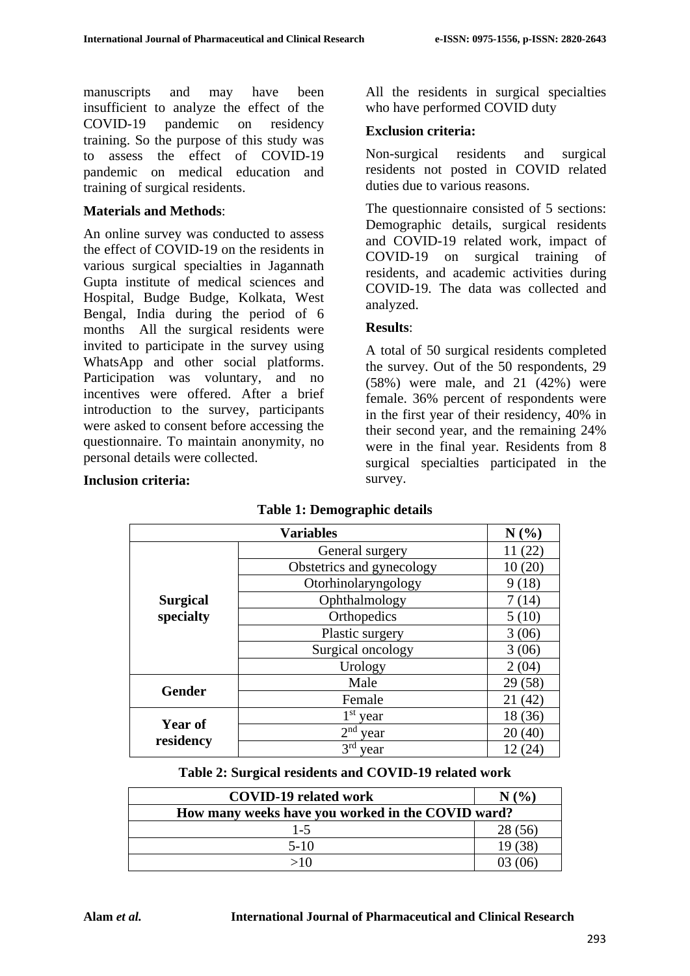manuscripts and may have been insufficient to analyze the effect of the COVID-19 pandemic on residency training. So the purpose of this study was to assess the effect of COVID-19 pandemic on medical education and training of surgical residents.

#### **Materials and Methods**:

**Inclusion criteria:** 

An online survey was conducted to assess the effect of COVID-19 on the residents in various surgical specialties in Jagannath Gupta institute of medical sciences and Hospital, Budge Budge, Kolkata, West Bengal, India during the period of 6 months All the surgical residents were invited to participate in the survey using WhatsApp and other social platforms. Participation was voluntary, and no incentives were offered. After a brief introduction to the survey, participants were asked to consent before accessing the questionnaire. To maintain anonymity, no personal details were collected.

#### All the residents in surgical specialties who have performed COVID duty

## **Exclusion criteria:**

Non-surgical residents and surgical residents not posted in COVID related duties due to various reasons.

The questionnaire consisted of 5 sections: Demographic details, surgical residents and COVID-19 related work, impact of COVID-19 on surgical training of residents, and academic activities during COVID-19. The data was collected and analyzed.

## **Results**:

A total of 50 surgical residents completed the survey. Out of the 50 respondents, 29 (58%) were male, and 21 (42%) were female. 36% percent of respondents were in the first year of their residency, 40% in their second year, and the remaining 24% were in the final year. Residents from 8 surgical specialties participated in the survey.

|                 | <b>Variables</b>          | N(%)    |
|-----------------|---------------------------|---------|
|                 | General surgery           | 11(22)  |
|                 | Obstetrics and gynecology | 10(20)  |
|                 | Otorhinolaryngology       | 9(18)   |
| <b>Surgical</b> | Ophthalmology             | 7(14)   |
| specialty       | Orthopedics               | 5(10)   |
|                 | Plastic surgery           | 3(06)   |
|                 | Surgical oncology         | 3(06)   |
|                 | Urology                   | 2(04)   |
| <b>Gender</b>   | Male                      | 29(58)  |
|                 | Female                    | 21(42)  |
| <b>Year of</b>  | $1st$ year                | 18 (36) |
|                 | $2nd$ year                | 20(40)  |
| residency       | 3 <sup>rd</sup><br>year   | 12(24)  |

## **Table 1: Demographic details**

#### **Table 2: Surgical residents and COVID-19 related work**

| <b>COVID-19 related work</b>                      |         |
|---------------------------------------------------|---------|
| How many weeks have you worked in the COVID ward? |         |
| $1 - 5$                                           | 28 (56) |
| $5-10$                                            |         |
|                                                   |         |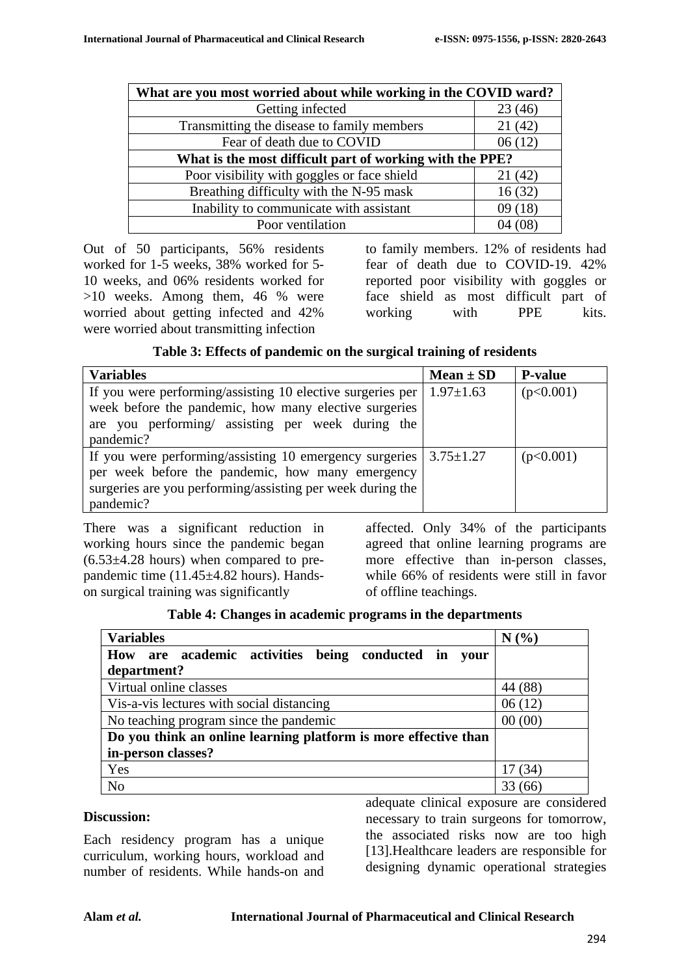| What are you most worried about while working in the COVID ward? |        |  |
|------------------------------------------------------------------|--------|--|
| Getting infected                                                 | 23(46) |  |
| Transmitting the disease to family members                       | 21(42) |  |
| Fear of death due to COVID                                       | 06(12) |  |
| What is the most difficult part of working with the PPE?         |        |  |
| Poor visibility with goggles or face shield                      | 21(42) |  |
| Breathing difficulty with the N-95 mask                          | 16(32) |  |
| Inability to communicate with assistant                          | 09(18) |  |
| Poor ventilation                                                 |        |  |

Out of 50 participants, 56% residents worked for 1-5 weeks, 38% worked for 5- 10 weeks, and 06% residents worked for >10 weeks. Among them, 46 % were worried about getting infected and 42% were worried about transmitting infection

to family members. 12% of residents had fear of death due to COVID-19. 42% reported poor visibility with goggles or face shield as most difficult part of working with PPE kits.

| Table 3: Effects of pandemic on the surgical training of residents |  |  |
|--------------------------------------------------------------------|--|--|
|--------------------------------------------------------------------|--|--|

| <b>Variables</b>                                           | $Mean \pm SD$   | <b>P-value</b> |
|------------------------------------------------------------|-----------------|----------------|
| If you were performing/assisting 10 elective surgeries per | $1.97 \pm 1.63$ | (p<0.001)      |
| week before the pandemic, how many elective surgeries      |                 |                |
| are you performing/ assisting per week during the          |                 |                |
| pandemic?                                                  |                 |                |
| If you were performing/assisting 10 emergency surgeries    | $3.75 \pm 1.27$ | (p<0.001)      |
| per week before the pandemic, how many emergency           |                 |                |
| surgeries are you performing/assisting per week during the |                 |                |
| pandemic?                                                  |                 |                |

There was a significant reduction in working hours since the pandemic began  $(6.53\pm4.28$  hours) when compared to prepandemic time (11.45±4.82 hours). Handson surgical training was significantly

affected. Only 34% of the participants agreed that online learning programs are more effective than in-person classes, while 66% of residents were still in favor of offline teachings.

|  |  | Table 4: Changes in academic programs in the departments |
|--|--|----------------------------------------------------------|
|  |  |                                                          |

| <b>Variables</b>                                                | N(%)    |
|-----------------------------------------------------------------|---------|
| How are academic activities being conducted in your             |         |
| department?                                                     |         |
| Virtual online classes                                          | 44 (88) |
| Vis-a-vis lectures with social distancing                       | 06(12)  |
| No teaching program since the pandemic                          | 00(00)  |
| Do you think an online learning platform is more effective than |         |
| in-person classes?                                              |         |
| Yes                                                             | 17 (34) |
| N <sub>o</sub>                                                  | (66)    |

#### **Discussion:**

Each residency program has a unique curriculum, working hours, workload and number of residents. While hands-on and adequate clinical exposure are considered necessary to train surgeons for tomorrow, the associated risks now are too high [13]. Healthcare leaders are responsible for designing dynamic operational strategies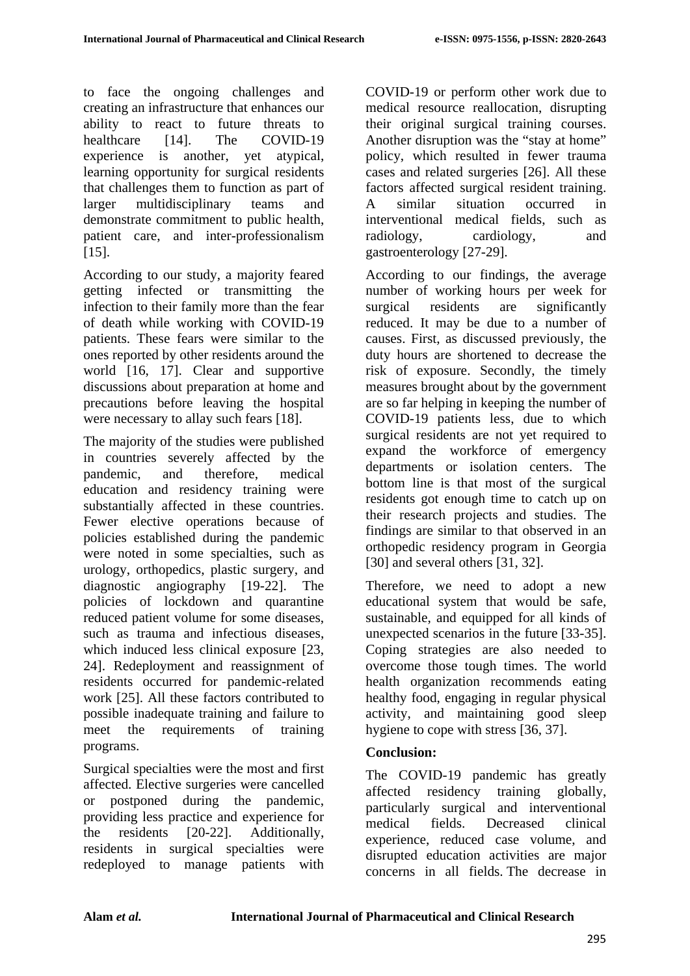to face the ongoing challenges and creating an infrastructure that enhances our ability to react to future threats to healthcare [14]. The COVID-19 experience is another, yet atypical, learning opportunity for surgical residents that challenges them to function as part of larger multidisciplinary teams and demonstrate commitment to public health, patient care, and inter-professionalism [15].

According to our study, a majority feared getting infected or transmitting the infection to their family more than the fear of death while working with COVID-19 patients. These fears were similar to the ones reported by other residents around the world [16, 17]. Clear and supportive discussions about preparation at home and precautions before leaving the hospital were necessary to allay such fears [18].

The majority of the studies were published in countries severely affected by the pandemic, and therefore, medical education and residency training were substantially affected in these countries. Fewer elective operations because of policies established during the pandemic were noted in some specialties, such as urology, orthopedics, plastic surgery, and diagnostic angiography [19-22]. The policies of lockdown and quarantine reduced patient volume for some diseases, such as trauma and infectious diseases, which induced less clinical exposure [23, 24]. Redeployment and reassignment of residents occurred for pandemic-related work [25]. All these factors contributed to possible inadequate training and failure to meet the requirements of training programs.

Surgical specialties were the most and first affected. Elective surgeries were cancelled or postponed during the pandemic, providing less practice and experience for the residents [20-22]. Additionally, residents in surgical specialties were redeployed to manage patients with

COVID-19 or perform other work due to medical resource reallocation, disrupting their original surgical training courses. Another disruption was the "stay at home" policy, which resulted in fewer trauma cases and related surgeries [26]. All these factors affected surgical resident training. A similar situation occurred in interventional medical fields, such as radiology, cardiology, and gastroenterology [27-29].

According to our findings, the average number of working hours per week for surgical residents are significantly reduced. It may be due to a number of causes. First, as discussed previously, the duty hours are shortened to decrease the risk of exposure. Secondly, the timely measures brought about by the government are so far helping in keeping the number of COVID-19 patients less, due to which surgical residents are not yet required to expand the workforce of emergency departments or isolation centers. The bottom line is that most of the surgical residents got enough time to catch up on their research projects and studies. The findings are similar to that observed in an orthopedic residency program in Georgia [30] and several others [31, 32].

Therefore, we need to adopt a new educational system that would be safe, sustainable, and equipped for all kinds of unexpected scenarios in the future [33-35]. Coping strategies are also needed to overcome those tough times. The world health organization recommends eating healthy food, engaging in regular physical activity, and maintaining good sleep hygiene to cope with stress [36, 37].

## **Conclusion:**

The COVID-19 pandemic has greatly affected residency training globally, particularly surgical and interventional medical fields. Decreased clinical experience, reduced case volume, and disrupted education activities are major concerns in all fields. The decrease in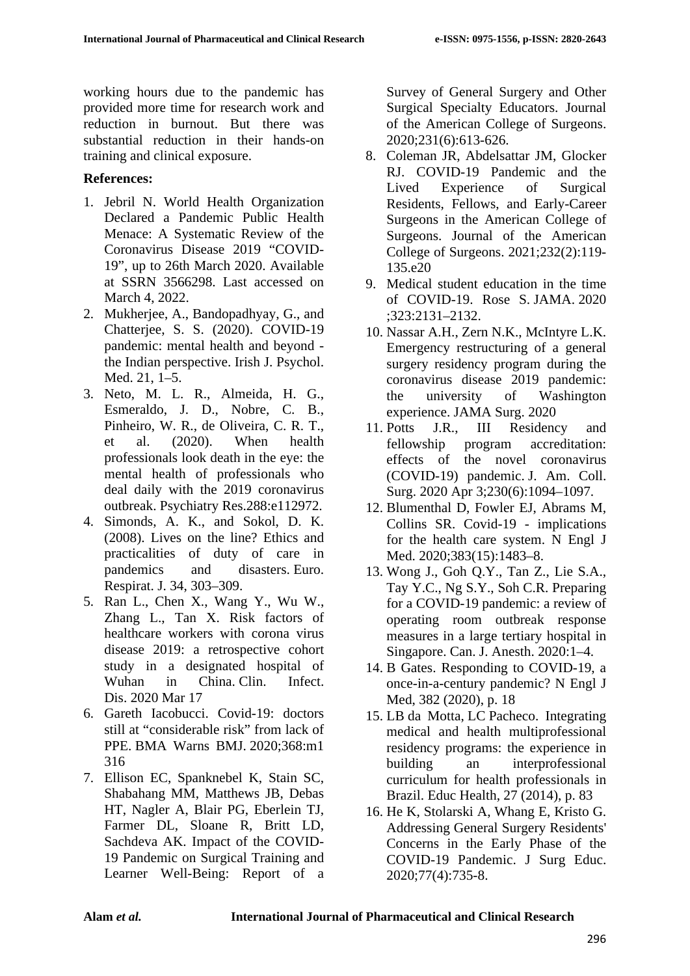working hours due to the pandemic has provided more time for research work and reduction in burnout. But there was substantial reduction in their hands-on training and clinical exposure.

## **References:**

- 1. Jebril N. World Health Organization Declared a Pandemic Public Health Menace: A Systematic Review of the Coronavirus Disease 2019 "COVID-19", up to 26th March 2020. Available at SSRN 3566298. Last accessed on March 4, 2022.
- 2. Mukherjee, A., Bandopadhyay, G., and Chatterjee, S. S. (2020). COVID-19 pandemic: mental health and beyond the Indian perspective. Irish J. Psychol. Med. 21, 1–5.
- 3. Neto, M. L. R., Almeida, H. G., Esmeraldo, J. D., Nobre, C. B., Pinheiro, W. R., de Oliveira, C. R. T., et al. (2020). When health professionals look death in the eye: the mental health of professionals who deal daily with the 2019 coronavirus outbreak. Psychiatry Res.288:e112972.
- 4. Simonds, A. K., and Sokol, D. K. (2008). Lives on the line? Ethics and practicalities of duty of care in pandemics and disasters. Euro. Respirat. J. 34, 303–309.
- 5. Ran L., Chen X., Wang Y., Wu W., Zhang L., Tan X. Risk factors of healthcare workers with corona virus disease 2019: a retrospective cohort study in a designated hospital of Wuhan in China. Clin. Infect. Dis. 2020 Mar 17
- 6. Gareth Iacobucci. Covid-19: doctors still at "considerable risk" from lack of PPE. BMA Warns BMJ. 2020;368:m1 316
- 7. Ellison EC, Spanknebel K, Stain SC, Shabahang MM, Matthews JB, Debas HT, Nagler A, Blair PG, Eberlein TJ, Farmer DL, Sloane R, Britt LD, Sachdeva AK. Impact of the COVID-19 Pandemic on Surgical Training and Learner Well-Being: Report of a

Survey of General Surgery and Other Surgical Specialty Educators. Journal of the American College of Surgeons. 2020;231(6):613-626.

- 8. Coleman JR, Abdelsattar JM, Glocker RJ. COVID-19 Pandemic and the Lived Experience of Surgical Residents, Fellows, and Early-Career Surgeons in the American College of Surgeons. Journal of the American College of Surgeons. 2021;232(2):119- 135.e20
- 9. Medical student education in the time of COVID-19. Rose S. JAMA. 2020 ;323:2131–2132.
- 10. Nassar A.H., Zern N.K., McIntyre L.K. Emergency restructuring of a general surgery residency program during the coronavirus disease 2019 pandemic: the university of Washington experience. JAMA Surg. 2020
- 11. Potts J.R., III Residency and fellowship program accreditation: effects of the novel coronavirus (COVID-19) pandemic. J. Am. Coll. Surg. 2020 Apr 3;230(6):1094–1097.
- 12. Blumenthal D, Fowler EJ, Abrams M, Collins SR. Covid-19 - implications for the health care system. N Engl J Med. 2020;383(15):1483–8.
- 13. Wong J., Goh Q.Y., Tan Z., Lie S.A., Tay Y.C., Ng S.Y., Soh C.R. Preparing for a COVID-19 pandemic: a review of operating room outbreak response measures in a large tertiary hospital in Singapore. Can. J. Anesth. 2020:1–4.
- 14. B Gates. Responding to COVID-19, a once-in-a-century pandemic? N Engl J Med, 382 (2020), p. 18
- 15. LB da Motta, LC Pacheco. Integrating medical and health multiprofessional residency programs: the experience in building an interprofessional curriculum for health professionals in Brazil. Educ Health, 27 (2014), p. 83
- 16. He K, Stolarski A, Whang E, Kristo G. Addressing General Surgery Residents' Concerns in the Early Phase of the COVID-19 Pandemic. J Surg Educ. 2020;77(4):735-8.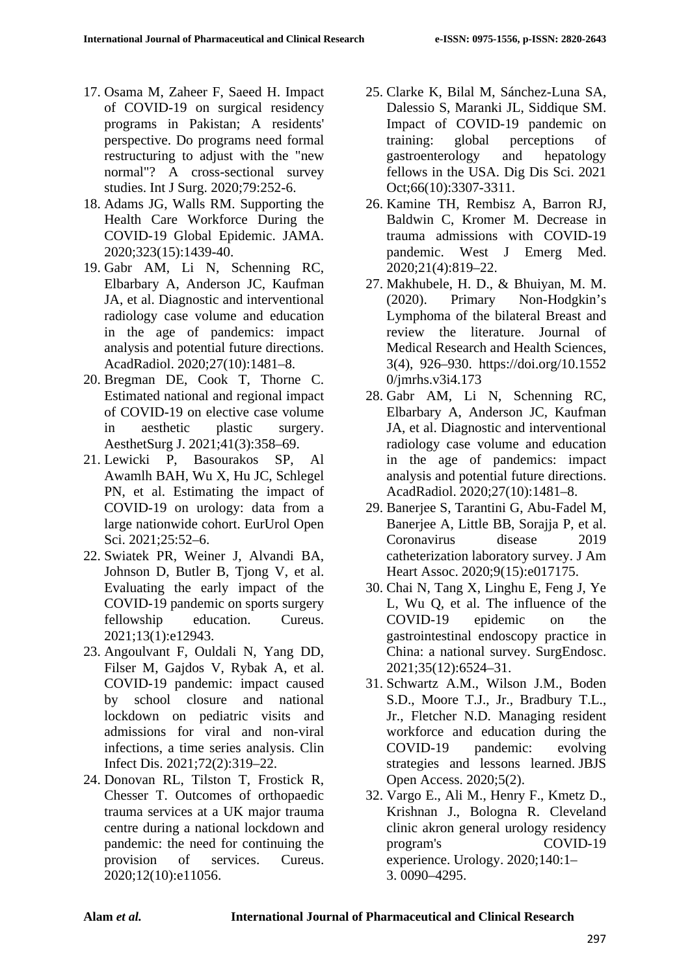- 17. Osama M, Zaheer F, Saeed H. Impact of COVID-19 on surgical residency programs in Pakistan; A residents' perspective. Do programs need formal restructuring to adjust with the "new normal"? A cross-sectional survey studies. Int J Surg. 2020;79:252-6.
- 18. Adams JG, Walls RM. Supporting the Health Care Workforce During the COVID-19 Global Epidemic. JAMA. 2020;323(15):1439-40.
- 19. Gabr AM, Li N, Schenning RC, Elbarbary A, Anderson JC, Kaufman JA, et al. Diagnostic and interventional radiology case volume and education in the age of pandemics: impact analysis and potential future directions. AcadRadiol. 2020;27(10):1481–8.
- 20. Bregman DE, Cook T, Thorne C. Estimated national and regional impact of COVID-19 on elective case volume in aesthetic plastic surgery. AesthetSurg J. 2021;41(3):358–69.
- 21. Lewicki P, Basourakos SP, Al Awamlh BAH, Wu X, Hu JC, Schlegel PN, et al. Estimating the impact of COVID-19 on urology: data from a large nationwide cohort. EurUrol Open Sci. 2021;25:52–6.
- 22. Swiatek PR, Weiner J, Alvandi BA, Johnson D, Butler B, Tjong V, et al. Evaluating the early impact of the COVID-19 pandemic on sports surgery fellowship education. Cureus. 2021;13(1):e12943.
- 23. Angoulvant F, Ouldali N, Yang DD, Filser M, Gajdos V, Rybak A, et al. COVID-19 pandemic: impact caused by school closure and national lockdown on pediatric visits and admissions for viral and non-viral infections, a time series analysis. Clin Infect Dis. 2021;72(2):319–22.
- 24. Donovan RL, Tilston T, Frostick R, Chesser T. Outcomes of orthopaedic trauma services at a UK major trauma centre during a national lockdown and pandemic: the need for continuing the provision of services. Cureus. 2020;12(10):e11056.
- 25. Clarke K, Bilal M, Sánchez-Luna SA, Dalessio S, Maranki JL, Siddique SM. Impact of COVID-19 pandemic on training: global perceptions of gastroenterology and hepatology fellows in the USA. Dig Dis Sci. 2021 Oct;66(10):3307-3311.
- 26. Kamine TH, Rembisz A, Barron RJ, Baldwin C, Kromer M. Decrease in trauma admissions with COVID-19 pandemic. West J Emerg Med. 2020;21(4):819–22.
- 27. Makhubele, H. D., & Bhuiyan, M. M. (2020). Primary Non-Hodgkin's Lymphoma of the bilateral Breast and review the literature. Journal of Medical Research and Health Sciences, 3(4), 926–930. https://doi.org/10.1552 0/jmrhs.v3i4.173
- 28. Gabr AM, Li N, Schenning RC, Elbarbary A, Anderson JC, Kaufman JA, et al. Diagnostic and interventional radiology case volume and education in the age of pandemics: impact analysis and potential future directions. AcadRadiol. 2020;27(10):1481–8.
- 29. Banerjee S, Tarantini G, Abu-Fadel M, Banerjee A, Little BB, Sorajja P, et al. Coronavirus disease 2019 catheterization laboratory survey. J Am Heart Assoc. 2020;9(15):e017175.
- 30. Chai N, Tang X, Linghu E, Feng J, Ye L, Wu Q, et al. The influence of the COVID-19 epidemic on the gastrointestinal endoscopy practice in China: a national survey. SurgEndosc. 2021;35(12):6524–31.
- 31. Schwartz A.M., Wilson J.M., Boden S.D., Moore T.J., Jr., Bradbury T.L., Jr., Fletcher N.D. Managing resident workforce and education during the COVID-19 pandemic: evolving strategies and lessons learned. JBJS Open Access. 2020;5(2).
- 32. Vargo E., Ali M., Henry F., Kmetz D., Krishnan J., Bologna R. Cleveland clinic akron general urology residency program's COVID-19 experience. Urology. 2020;140:1– 3. 0090–4295.